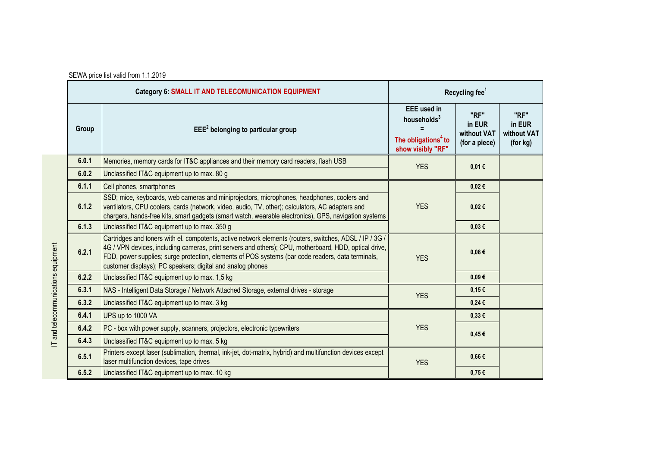| <b>Category 6: SMALL IT AND TELECOMUNICATION EQUIPMENT</b> |                                                                                                                                                                                                                                                                                                                                                                                     | Recycling fee <sup>1</sup>                                                                            |                                                |                                           |
|------------------------------------------------------------|-------------------------------------------------------------------------------------------------------------------------------------------------------------------------------------------------------------------------------------------------------------------------------------------------------------------------------------------------------------------------------------|-------------------------------------------------------------------------------------------------------|------------------------------------------------|-------------------------------------------|
| Group                                                      | $EEE2$ belonging to particular group                                                                                                                                                                                                                                                                                                                                                | <b>EEE</b> used in<br>households <sup>3</sup><br>The obligations <sup>4</sup> to<br>show visibly "RF" | "RF"<br>in EUR<br>without VAT<br>(for a piece) | "RF"<br>in EUR<br>without VAT<br>(for kg) |
| 6.0.1                                                      | Memories, memory cards for IT&C appliances and their memory card readers, flash USB                                                                                                                                                                                                                                                                                                 | <b>YES</b>                                                                                            | 0,01€                                          |                                           |
| 6.0.2                                                      | Unclassified IT&C equipment up to max. 80 g                                                                                                                                                                                                                                                                                                                                         |                                                                                                       |                                                |                                           |
| 6.1.1                                                      | Cell phones, smartphones                                                                                                                                                                                                                                                                                                                                                            | <b>YES</b>                                                                                            | 0,02€                                          |                                           |
| 6.1.2                                                      | SSD; mice, keyboards, web cameras and miniprojectors, microphones, headphones, coolers and<br>ventilators, CPU coolers, cards (network, video, audio, TV, other); calculators, AC adapters and<br>chargers, hands-free kits, smart gadgets (smart watch, wearable electronics), GPS, navigation systems                                                                             |                                                                                                       | 0,02€                                          |                                           |
| 6.1.3                                                      | Unclassified IT&C equipment up to max. 350 g                                                                                                                                                                                                                                                                                                                                        |                                                                                                       | $0,03 \in$                                     |                                           |
| 6.2.1                                                      | Cartridges and toners with el. compotents, active network elements (routers, switches, ADSL / IP / 3G /<br>4G / VPN devices, including cameras, print servers and others); CPU, motherboard, HDD, optical drive,<br>FDD, power supplies; surge protection, elements of POS systems (bar code readers, data terminals,<br>customer displays); PC speakers; digital and analog phones | <b>YES</b>                                                                                            | $0,08 \in$                                     |                                           |
| 6.2.2                                                      | Unclassified IT&C equipment up to max. 1,5 kg                                                                                                                                                                                                                                                                                                                                       |                                                                                                       | $0.09 \in$                                     |                                           |
| 6.3.1                                                      | NAS - Intelligent Data Storage / Network Attached Storage, external drives - storage                                                                                                                                                                                                                                                                                                | <b>YES</b>                                                                                            | 0,15€                                          |                                           |
| 6.3.2                                                      | Unclassified IT&C equipment up to max. 3 kg                                                                                                                                                                                                                                                                                                                                         |                                                                                                       | $0,24 \in$                                     |                                           |
| 6.4.1                                                      | UPS up to 1000 VA                                                                                                                                                                                                                                                                                                                                                                   | <b>YES</b>                                                                                            | 0,33€                                          |                                           |
| 6.4.2                                                      | PC - box with power supply, scanners, projectors, electronic typewriters                                                                                                                                                                                                                                                                                                            |                                                                                                       | $0,45 \in$                                     |                                           |
| 6.4.3                                                      | Unclassified IT&C equipment up to max. 5 kg                                                                                                                                                                                                                                                                                                                                         |                                                                                                       |                                                |                                           |
| 6.5.1                                                      | Printers except laser (sublimation, thermal, ink-jet, dot-matrix, hybrid) and multifunction devices except<br>laser multifunction devices, tape drives                                                                                                                                                                                                                              | <b>YES</b>                                                                                            | $0,66 \in$                                     |                                           |
| 6.5.2                                                      | Unclassified IT&C equipment up to max. 10 kg                                                                                                                                                                                                                                                                                                                                        |                                                                                                       | $0,75 \in$                                     |                                           |

SEWA price list valid from 1.1.2019

IT and telecommunications equipment IT and telecommunications equipment